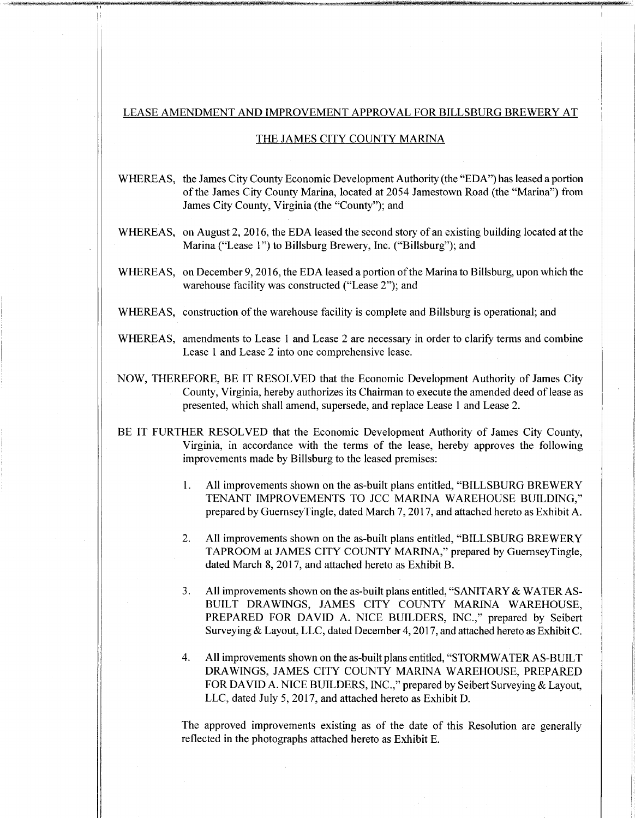## LEASE AMENDMENT AND IMPROVEMENT APPROVAL FOR BILLSBURG BREWERY AT

amsweisiN<del>mini Mimi (</del>

## THE JAMES CITY COUNTY MARINA

WHEREAS, the James City County Economic Development Authority (the "EDA") has leased a portion of the James City County Marina, located at 2054 Jamestown Road (the "Marina") from James City County, Virginia (the "County"); and

WHEREAS, on August 2, 2016, the EDA leased the second story of an existing building located at the Marina ("Lease 1") to Billsburg Brewery, Inc. ("Billsburg"); and

- WHEREAS, on December 9, 2016, the EDA leased a portion of the Marina to Billsburg, upon which the warehouse facility was constructed ("Lease 2"); and
- WHEREAS, construction of the warehouse facility is complete and Billsburg is operational; and
- WHEREAS, amendments to Lease 1 and Lease 2 are necessary in order to clarify terms and combine Lease <sup>1</sup> and Lease 2 into one comprehensive lease.
- NOW, THEREFORE, BE IT RESOLVED that the Economic Development Authority of James City County, Virginia, hereby authorizes its Chairman to execute the amended deed of lease as presented, which shall amend, supersede, and replace Lease <sup>1</sup> and Lease 2.
- BE IT FURTHER RESOLVED that the Economic Development Authority of James City County, Virginia, in accordance with the terms of the lease, hereby approves the following improvements made by Billsburg to the leased premises:
	- All improvements shown on the as-built plans entitled, "BILLSBURG BREWERY TENANT IMPROVEMENTS TO JCC MARINA WAREHOUSE BUILDING," prepared by GuernseyTingle, dated March 7,2017, and attached hereto as Exhibit A. 1.
	- All improvements shown on the as-built plans entitled, "BILLSBURG BREWERY TAPROOM at JAMES CITY COUNTY MARINA," prepared by GuernseyTingle, dated March 8, 2017, and attached hereto as Exhibit B. **2.**
	- All improvements shown on the as-built plans entitled, "SANITARY & WATER AS-BUILT DRAWINGS, JAMES CITY COUNTY MARINA WAREHOUSE, PREPARED FOR DAVID A. NICE BUILDERS, INC.," prepared by Seibert Surveying & Layout, LLC, dated December 4,2017, and attached hereto as Exhibit C. **3.**
	- **4.** All improvements shown on the as-built plans entitled, "STORMWATER AS-BUILT DRAWINGS, JAMES CITY COUNTY MARINA WAREHOUSE, PREPARED FOR DAVID A. NICE BUILDERS, INC.," prepared by Seibert Surveying & Layout, LLC, dated July 5, 2017, and attached hereto as Exhibit D.

The approved improvements existing as of the date of this Resolution are generally reflected in the photographs attached hereto as Exhibit E.